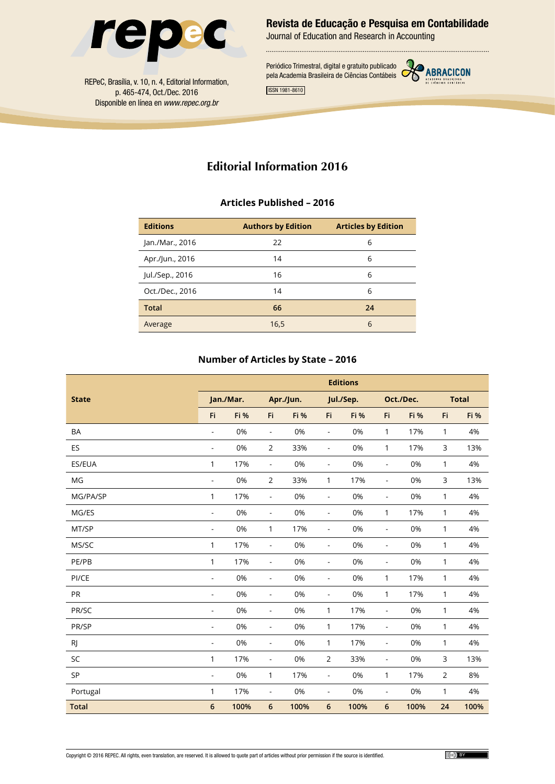

Revista de Educação e Pesquisa em Contabilidade

Journal of Education and Research in Accounting

ISSN 1981-8610 Periódico Trimestral, digital e gratuito publicado pela Academia Brasileira de Ciências Contábeis



REPeC, Brasília, v. 10, n. 4, Editorial Information, p. 465-474, Oct./Dec. 2016 Disponible en línea en *www.repec.org.br*

# **Editorial Information 2016**

## **Articles Published – 2016**

| <b>Editions</b> | <b>Authors by Edition</b> | <b>Articles by Edition</b> |
|-----------------|---------------------------|----------------------------|
| Jan./Mar., 2016 | 22                        | 6                          |
| Apr./Jun., 2016 | 14                        | 6                          |
| Jul./Sep., 2016 | 16                        | 6                          |
| Oct./Dec., 2016 | 14                        | 6                          |
| <b>Total</b>    | 66                        | 24                         |
| Average         | 16,5                      | 6                          |

## **Number of Articles by State – 2016**

|              |                          |           |                          |           |                          | <b>Editions</b> |                          |             |                |              |
|--------------|--------------------------|-----------|--------------------------|-----------|--------------------------|-----------------|--------------------------|-------------|----------------|--------------|
| <b>State</b> |                          | Jan./Mar. |                          | Apr./Jun. |                          | Jul./Sep.       |                          | Oct./Dec.   |                | <b>Total</b> |
|              | Fi                       | Fi %      | Fi                       | Fi %      | Fi                       | Fi %            | Fi                       | <b>Fi %</b> | Fi             | Fi %         |
| <b>BA</b>    | $\blacksquare$           | 0%        | $\overline{\phantom{a}}$ | 0%        | $\blacksquare$           | 0%              | 1                        | 17%         | 1              | 4%           |
| ES           | $\frac{1}{2}$            | 0%        | $\overline{2}$           | 33%       | $\blacksquare$           | 0%              | 1                        | 17%         | 3              | 13%          |
| ES/EUA       | 1                        | 17%       | $\overline{a}$           | 0%        | $\blacksquare$           | 0%              | $\blacksquare$           | 0%          | 1              | 4%           |
| MG           | $\blacksquare$           | 0%        | $\overline{2}$           | 33%       | 1                        | 17%             | $\overline{\phantom{a}}$ | 0%          | 3              | 13%          |
| MG/PA/SP     | 1                        | 17%       | $\overline{\phantom{a}}$ | 0%        | $\blacksquare$           | 0%              | $\overline{\phantom{a}}$ | 0%          | 1              | 4%           |
| MG/ES        | $\frac{1}{2}$            | 0%        | $\overline{\phantom{a}}$ | 0%        | $\blacksquare$           | 0%              | 1                        | 17%         | 1              | 4%           |
| MT/SP        | $\frac{1}{2}$            | 0%        | 1                        | 17%       | $\blacksquare$           | 0%              | $\blacksquare$           | 0%          | 1              | 4%           |
| MS/SC        | 1                        | 17%       | $\overline{a}$           | 0%        | $\overline{\phantom{a}}$ | 0%              | $\overline{a}$           | 0%          | 1              | 4%           |
| PE/PB        | 1                        | 17%       | $\blacksquare$           | 0%        | $\blacksquare$           | 0%              | $\overline{\phantom{a}}$ | 0%          | 1              | 4%           |
| PI/CE        | $\blacksquare$           | 0%        | $\blacksquare$           | 0%        | $\blacksquare$           | 0%              | 1                        | 17%         | 1              | 4%           |
| PR           | $\blacksquare$           | 0%        | $\overline{\phantom{a}}$ | 0%        | $\blacksquare$           | 0%              | 1                        | 17%         | 1              | 4%           |
| PR/SC        | $\overline{\phantom{a}}$ | 0%        | $\frac{1}{2}$            | 0%        | 1                        | 17%             | $\overline{\phantom{a}}$ | 0%          | 1              | 4%           |
| PR/SP        | $\blacksquare$           | 0%        | $\overline{\phantom{a}}$ | 0%        | 1                        | 17%             | $\blacksquare$           | 0%          | 1              | 4%           |
| RJ           | $\blacksquare$           | 0%        | $\blacksquare$           | 0%        | 1                        | 17%             | $\overline{\phantom{a}}$ | 0%          | 1              | 4%           |
| SC           | 1                        | 17%       | $\overline{\phantom{a}}$ | 0%        | $\overline{2}$           | 33%             | $\overline{\phantom{a}}$ | 0%          | 3              | 13%          |
| SP           | ÷,                       | 0%        | 1                        | 17%       | $\blacksquare$           | 0%              | 1                        | 17%         | $\overline{2}$ | 8%           |
| Portugal     | 1                        | 17%       | $\overline{\phantom{a}}$ | 0%        | $\overline{\phantom{a}}$ | 0%              | $\blacksquare$           | 0%          | 1              | 4%           |
| <b>Total</b> | $6\phantom{1}$           | 100%      | $6\phantom{1}6$          | 100%      | 6                        | 100%            | 6                        | 100%        | 24             | 100%         |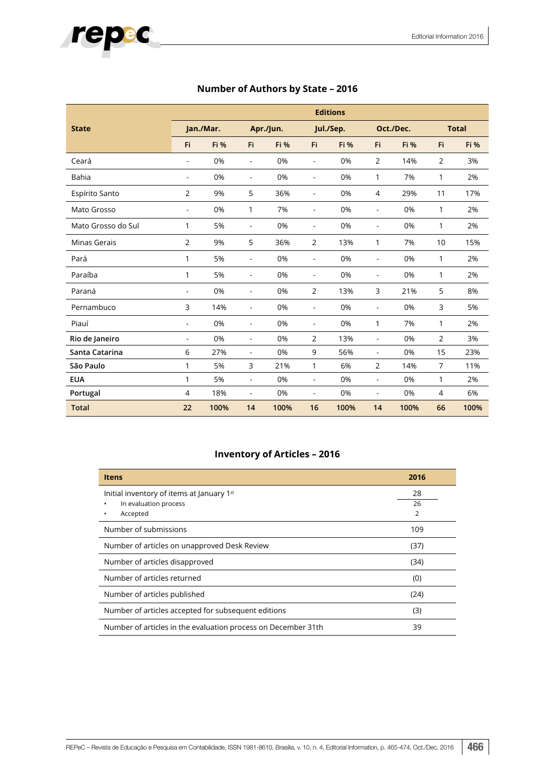|                    |                          | <b>Editions</b> |                          |             |                          |             |                          |             |     |              |  |
|--------------------|--------------------------|-----------------|--------------------------|-------------|--------------------------|-------------|--------------------------|-------------|-----|--------------|--|
| <b>State</b>       |                          | Jan./Mar.       |                          | Apr./Jun.   |                          | Jul./Sep.   |                          | Oct./Dec.   |     | <b>Total</b> |  |
|                    | Fi                       | <b>Fi %</b>     | Fi                       | <b>Fi %</b> | Fi.                      | <b>Fi</b> % | Fi.                      | <b>Fi %</b> | Fi. | <b>Fi</b> %  |  |
| Ceará              | ÷                        | 0%              | $\blacksquare$           | 0%          | $\overline{\phantom{a}}$ | 0%          | $\overline{2}$           | 14%         | 2   | 3%           |  |
| Bahia              | $\overline{\phantom{a}}$ | 0%              | $\overline{\phantom{a}}$ | 0%          | $\overline{\phantom{a}}$ | 0%          | 1                        | 7%          | 1   | 2%           |  |
| Espírito Santo     | $\overline{2}$           | 9%              | 5                        | 36%         | $\overline{\phantom{a}}$ | 0%          | 4                        | 29%         | 11  | 17%          |  |
| Mato Grosso        | ÷.                       | 0%              | 1                        | 7%          | $\overline{\phantom{a}}$ | 0%          | ÷                        | 0%          | 1   | 2%           |  |
| Mato Grosso do Sul | 1                        | 5%              | $\blacksquare$           | 0%          | $\overline{\phantom{a}}$ | 0%          | $\blacksquare$           | 0%          | 1   | 2%           |  |
| Minas Gerais       | $\overline{2}$           | 9%              | 5                        | 36%         | $\overline{2}$           | 13%         | 1                        | 7%          | 10  | 15%          |  |
| Pará               | 1                        | 5%              | $\blacksquare$           | 0%          | $\blacksquare$           | 0%          | $\blacksquare$           | 0%          | 1   | 2%           |  |
| Paraíba            | 1                        | 5%              | $\blacksquare$           | 0%          | $\blacksquare$           | 0%          | $\blacksquare$           | 0%          | 1   | 2%           |  |
| Paraná             | ٠                        | 0%              | $\blacksquare$           | 0%          | 2                        | 13%         | 3                        | 21%         | 5   | 8%           |  |
| Pernambuco         | 3                        | 14%             | $\overline{\phantom{a}}$ | 0%          | $\overline{\phantom{a}}$ | 0%          | $\overline{\phantom{a}}$ | 0%          | 3   | 5%           |  |
| Piauí              | L,                       | 0%              | $\blacksquare$           | 0%          | $\blacksquare$           | 0%          | 1                        | 7%          | 1   | 2%           |  |
| Rio de Janeiro     | $\overline{a}$           | 0%              | $\sim$                   | 0%          | $\overline{2}$           | 13%         | $\overline{\phantom{a}}$ | 0%          | 2   | 3%           |  |
| Santa Catarina     | 6                        | 27%             | $\overline{\phantom{a}}$ | 0%          | 9                        | 56%         | $\blacksquare$           | 0%          | 15  | 23%          |  |
| São Paulo          | 1                        | 5%              | 3                        | 21%         | $\mathbf{1}$             | 6%          | 2                        | 14%         | 7   | 11%          |  |
| <b>EUA</b>         | 1                        | 5%              | $\blacksquare$           | 0%          | $\blacksquare$           | 0%          | $\blacksquare$           | 0%          | 1   | 2%           |  |
| Portugal           | $\overline{4}$           | 18%             | $\overline{\phantom{a}}$ | 0%          | $\blacksquare$           | 0%          | $\blacksquare$           | 0%          | 4   | 6%           |  |
| <b>Total</b>       | 22                       | 100%            | 14                       | 100%        | 16                       | 100%        | 14                       | 100%        | 66  | 100%         |  |

# **Number of Authors by State – 2016**

## **Inventory of Articles – 2016**

| <b>Itens</b>                                                  | 2016           |  |  |  |  |
|---------------------------------------------------------------|----------------|--|--|--|--|
| Initial inventory of items at January 1st                     | 28             |  |  |  |  |
| In evaluation process                                         | 26             |  |  |  |  |
| Accepted<br>٠                                                 | $\overline{2}$ |  |  |  |  |
| Number of submissions                                         | 109            |  |  |  |  |
| Number of articles on unapproved Desk Review                  | (37)           |  |  |  |  |
| Number of articles disapproved                                | (34)           |  |  |  |  |
| Number of articles returned<br>(0)                            |                |  |  |  |  |
| Number of articles published<br>(24)                          |                |  |  |  |  |
| Number of articles accepted for subsequent editions<br>(3)    |                |  |  |  |  |
| Number of articles in the evaluation process on December 31th | 39             |  |  |  |  |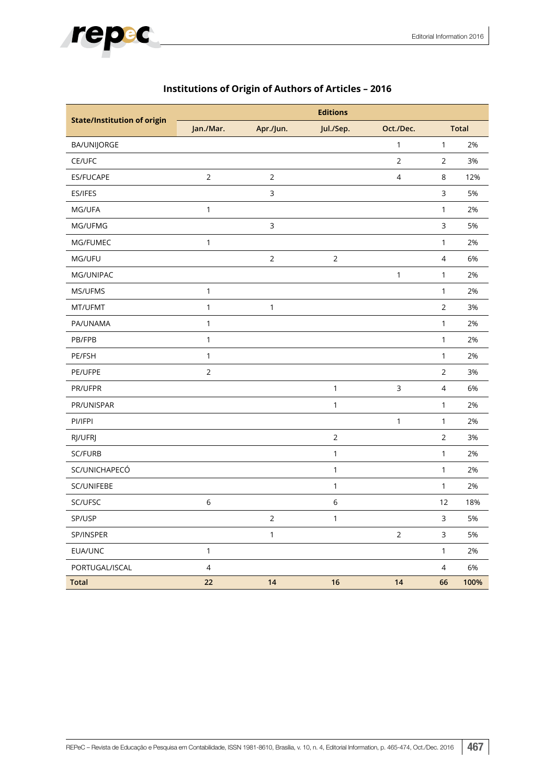

| <b>State/Institution of origin</b> |                |                | <b>Editions</b> |                |                |              |
|------------------------------------|----------------|----------------|-----------------|----------------|----------------|--------------|
|                                    | Jan./Mar.      | Apr./Jun.      | Jul./Sep.       | Oct./Dec.      |                | <b>Total</b> |
| <b>BA/UNIJORGE</b>                 |                |                |                 | $\mathbf{1}$   | $\mathbf{1}$   | 2%           |
| CE/UFC                             |                |                |                 | $\overline{2}$ | $\overline{2}$ | 3%           |
| <b>ES/FUCAPE</b>                   | $\overline{2}$ | $\overline{2}$ |                 | 4              | 8              | 12%          |
| ES/IFES                            |                | 3              |                 |                | 3              | 5%           |
| MG/UFA                             | 1              |                |                 |                | $\mathbf{1}$   | 2%           |
| MG/UFMG                            |                | $\mathsf{3}$   |                 |                | 3              | 5%           |
| MG/FUMEC                           | $\mathbf{1}$   |                |                 |                | $\mathbf{1}$   | 2%           |
| MG/UFU                             |                | $\overline{2}$ | $\overline{2}$  |                | $\overline{4}$ | 6%           |
| MG/UNIPAC                          |                |                |                 | $\mathbf{1}$   | $\mathbf{1}$   | 2%           |
| MS/UFMS                            | $\mathbf{1}$   |                |                 |                | $\mathbf{1}$   | 2%           |
| MT/UFMT                            | $\mathbf{1}$   | 1              |                 |                | $\overline{2}$ | 3%           |
| PA/UNAMA                           | $\mathbf{1}$   |                |                 |                | $\mathbf{1}$   | 2%           |
| PB/FPB                             | $\mathbf{1}$   |                |                 |                | $\mathbf{1}$   | 2%           |
| PE/FSH                             | $\mathbf{1}$   |                |                 |                | $\mathbf{1}$   | 2%           |
| PE/UFPE                            | $\overline{2}$ |                |                 |                | $\overline{2}$ | 3%           |
| PR/UFPR                            |                |                | 1               | $\mathsf{3}$   | $\overline{4}$ | 6%           |
| PR/UNISPAR                         |                |                | 1               |                | $\mathbf{1}$   | 2%           |
| PI/IFPI                            |                |                |                 | $\mathbf{1}$   | $\mathbf{1}$   | 2%           |
| RJ/UFRJ                            |                |                | $\mathbf 2$     |                | $\sqrt{2}$     | 3%           |
| SC/FURB                            |                |                | 1               |                | $\mathbf{1}$   | 2%           |
| SC/UNICHAPECÓ                      |                |                | $\mathbf{1}$    |                | $\mathbf{1}$   | 2%           |
| SC/UNIFEBE                         |                |                | 1               |                | $\mathbf{1}$   | 2%           |
| SC/UFSC                            | 6              |                | 6               |                | 12             | 18%          |
| SP/USP                             |                | $\overline{2}$ | $\mathbf{1}$    |                | 3              | 5%           |
| SP/INSPER                          |                | 1              |                 | $\overline{2}$ | 3              | 5%           |
| EUA/UNC                            | 1              |                |                 |                | $\mathbf{1}$   | 2%           |
| PORTUGAL/ISCAL                     | 4              |                |                 |                | $\overline{4}$ | 6%           |
| <b>Total</b>                       | 22             | 14             | 16              | 14             | 66             | 100%         |

# **Institutions of Origin of Authors of Articles – 2016**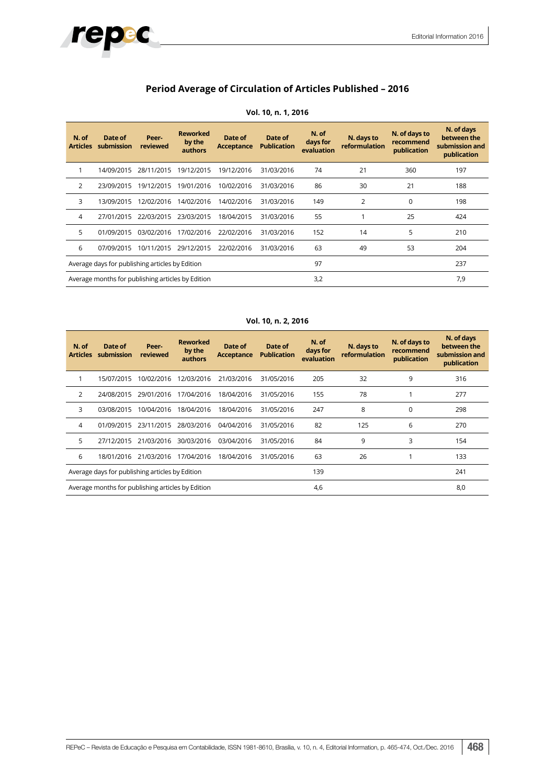## **Period Average of Circulation of Articles Published – 2016**

repec

| N. of<br><b>Articles</b> | Date of<br>submission                             | Peer-<br>reviewed | <b>Reworked</b><br>by the<br>authors | Date of<br><b>Acceptance</b> | Date of<br><b>Publication</b> | N. of<br>days for<br>evaluation | N. days to<br>reformulation | N. of days to<br>recommend<br>publication | N. of days<br>between the<br>submission and<br>publication |
|--------------------------|---------------------------------------------------|-------------------|--------------------------------------|------------------------------|-------------------------------|---------------------------------|-----------------------------|-------------------------------------------|------------------------------------------------------------|
|                          | 14/09/2015                                        | 28/11/2015        | 19/12/2015                           | 19/12/2016                   | 31/03/2016                    | 74                              | 21                          | 360                                       | 197                                                        |
| $\overline{2}$           | 23/09/2015                                        | 19/12/2015        | 19/01/2016                           | 10/02/2016                   | 31/03/2016                    | 86                              | 30                          | 21                                        | 188                                                        |
| 3                        | 13/09/2015                                        | 12/02/2016        | 14/02/2016                           | 14/02/2016                   | 31/03/2016                    | 149                             | 2                           | $\Omega$                                  | 198                                                        |
| 4                        | 27/01/2015                                        | 22/03/2015        | 23/03/2015                           | 18/04/2015                   | 31/03/2016                    | 55                              |                             | 25                                        | 424                                                        |
| 5                        | 01/09/2015                                        | 03/02/2016        | 17/02/2016                           | 22/02/2016                   | 31/03/2016                    | 152                             | 14                          | 5                                         | 210                                                        |
| 6                        | 07/09/2015                                        | 10/11/2015        | 29/12/2015                           | 22/02/2016                   | 31/03/2016                    | 63                              | 49                          | 53                                        | 204                                                        |
|                          | Average days for publishing articles by Edition   |                   |                                      |                              |                               | 97                              |                             |                                           | 237                                                        |
|                          | Average months for publishing articles by Edition |                   |                                      |                              |                               | 3,2                             |                             |                                           | 7,9                                                        |

#### **Vol. 10, n. 1, 2016**

**Vol. 10, n. 2, 2016**

| N. of<br><b>Articles</b> | Date of<br>submission                             | Peer-<br>reviewed | <b>Reworked</b><br>by the<br>authors | Date of<br><b>Acceptance</b> | Date of<br><b>Publication</b> | N. of<br>days for<br>evaluation | N. days to<br><b>reformulation</b> | N. of days to<br>recommend<br>publication | N. of days<br>between the<br>submission and<br>publication |
|--------------------------|---------------------------------------------------|-------------------|--------------------------------------|------------------------------|-------------------------------|---------------------------------|------------------------------------|-------------------------------------------|------------------------------------------------------------|
|                          | 15/07/2015                                        | 10/02/2016        | 12/03/2016                           | 21/03/2016                   | 31/05/2016                    | 205                             | 32                                 | 9                                         | 316                                                        |
| 2                        | 24/08/2015                                        | 29/01/2016        | 17/04/2016                           | 18/04/2016                   | 31/05/2016                    | 155                             | 78                                 |                                           | 277                                                        |
| 3                        | 03/08/2015                                        | 10/04/2016        | 18/04/2016                           | 18/04/2016                   | 31/05/2016                    | 247                             | 8                                  | 0                                         | 298                                                        |
| 4                        | 01/09/2015                                        | 23/11/2015        | 28/03/2016                           | 04/04/2016                   | 31/05/2016                    | 82                              | 125                                | 6                                         | 270                                                        |
| 5                        | 27/12/2015                                        | 21/03/2016        | 30/03/2016                           | 03/04/2016                   | 31/05/2016                    | 84                              | 9                                  | 3                                         | 154                                                        |
| 6                        | 18/01/2016                                        | 21/03/2016        | 17/04/2016                           | 18/04/2016                   | 31/05/2016                    | 63                              | 26                                 |                                           | 133                                                        |
|                          | Average days for publishing articles by Edition   |                   |                                      |                              |                               | 139                             |                                    |                                           | 241                                                        |
|                          | Average months for publishing articles by Edition |                   |                                      |                              |                               | 4,6                             |                                    |                                           | 8,0                                                        |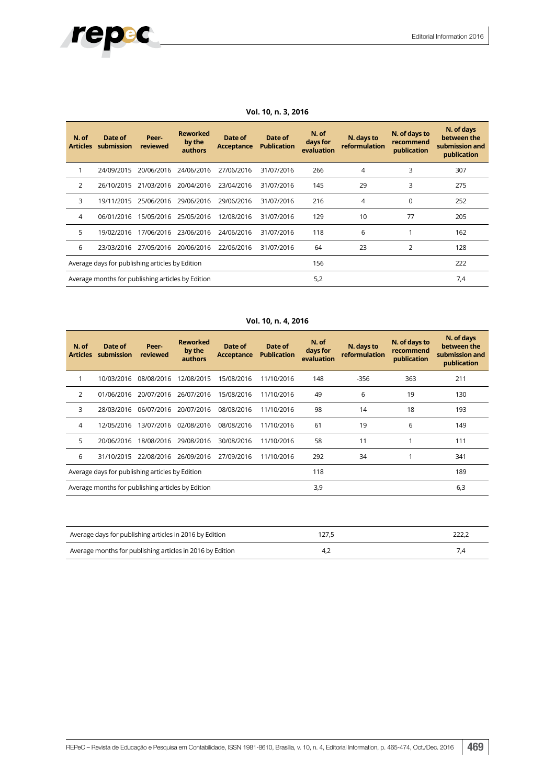# repec

| N. of<br><b>Articles</b> | Date of<br>submission                             | Peer-<br>reviewed | <b>Reworked</b><br>by the<br>authors | Date of<br><b>Acceptance</b> | Date of<br><b>Publication</b> | N. of<br>days for<br>evaluation | N. days to<br>reformulation | N. of days to<br>recommend<br>publication | N. of days<br>between the<br>submission and<br>publication |
|--------------------------|---------------------------------------------------|-------------------|--------------------------------------|------------------------------|-------------------------------|---------------------------------|-----------------------------|-------------------------------------------|------------------------------------------------------------|
|                          | 24/09/2015                                        | 20/06/2016        | 24/06/2016                           | 27/06/2016                   | 31/07/2016                    | 266                             | 4                           | 3                                         | 307                                                        |
| 2                        | 26/10/2015                                        | 21/03/2016        | 20/04/2016                           | 23/04/2016                   | 31/07/2016                    | 145                             | 29                          | 3                                         | 275                                                        |
| 3                        | 19/11/2015                                        | 25/06/2016        | 29/06/2016                           | 29/06/2016                   | 31/07/2016                    | 216                             | 4                           | $\Omega$                                  | 252                                                        |
| 4                        | 06/01/2016                                        | 15/05/2016        | 25/05/2016                           | 12/08/2016                   | 31/07/2016                    | 129                             | 10                          | 77                                        | 205                                                        |
| 5                        | 19/02/2016                                        | 17/06/2016        | 23/06/2016                           | 24/06/2016                   | 31/07/2016                    | 118                             | 6                           |                                           | 162                                                        |
| 6                        | 23/03/2016                                        | 27/05/2016        | 20/06/2016                           | 22/06/2016                   | 31/07/2016                    | 64                              | 23                          | 2                                         | 128                                                        |
|                          | Average days for publishing articles by Edition   |                   |                                      |                              |                               | 156                             |                             |                                           | 222                                                        |
|                          | Average months for publishing articles by Edition |                   |                                      |                              |                               | 5,2                             |                             |                                           | 7,4                                                        |

#### **Vol. 10, n. 3, 2016**

#### **Vol. 10, n. 4, 2016**

| N. of<br><b>Articles</b> | Date of<br>submission                             | Peer-<br>reviewed | <b>Reworked</b><br>by the<br>authors | Date of<br><b>Acceptance</b> | Date of<br><b>Publication</b> | N. of<br>days for<br>evaluation | N. days to<br>reformulation | N. of days to<br>recommend<br>publication | N. of days<br>between the<br>submission and<br>publication |
|--------------------------|---------------------------------------------------|-------------------|--------------------------------------|------------------------------|-------------------------------|---------------------------------|-----------------------------|-------------------------------------------|------------------------------------------------------------|
|                          | 10/03/2016                                        | 08/08/2016        | 12/08/2015                           | 15/08/2016                   | 11/10/2016                    | 148                             | $-356$                      | 363                                       | 211                                                        |
| 2                        | 01/06/2016                                        | 20/07/2016        | 26/07/2016                           | 15/08/2016                   | 11/10/2016                    | 49                              | 6                           | 19                                        | 130                                                        |
| 3                        | 28/03/2016                                        | 06/07/2016        | 20/07/2016                           | 08/08/2016                   | 11/10/2016                    | 98                              | 14                          | 18                                        | 193                                                        |
| 4                        | 12/05/2016                                        | 13/07/2016        | 02/08/2016                           | 08/08/2016                   | 11/10/2016                    | 61                              | 19                          | 6                                         | 149                                                        |
| 5                        | 20/06/2016                                        | 18/08/2016        | 29/08/2016                           | 30/08/2016                   | 11/10/2016                    | 58                              | 11                          |                                           | 111                                                        |
| 6                        | 31/10/2015                                        | 22/08/2016        | 26/09/2016                           | 27/09/2016                   | 11/10/2016                    | 292                             | 34                          |                                           | 341                                                        |
|                          | Average days for publishing articles by Edition   |                   |                                      |                              |                               | 118                             |                             |                                           | 189                                                        |
|                          | Average months for publishing articles by Edition |                   |                                      |                              |                               | 3,9                             |                             |                                           | 6,3                                                        |

| Average days for publishing articles in 2016 by Edition   |  |
|-----------------------------------------------------------|--|
| Average months for publishing articles in 2016 by Edition |  |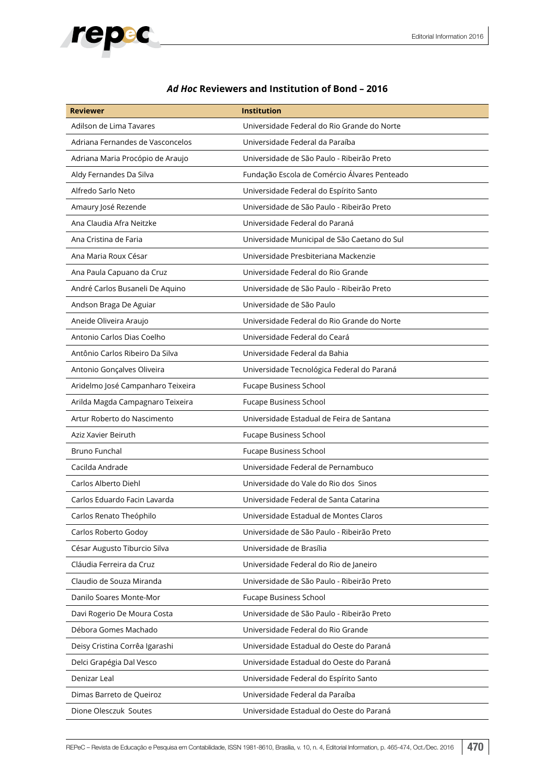

## *Ad Hoc* **Reviewers and Institution of Bond – 2016**

| <b>Reviewer</b>                   | <b>Institution</b>                           |
|-----------------------------------|----------------------------------------------|
| Adilson de Lima Tavares           | Universidade Federal do Rio Grande do Norte  |
| Adriana Fernandes de Vasconcelos  | Universidade Federal da Paraíba              |
| Adriana Maria Procópio de Araujo  | Universidade de São Paulo - Ribeirão Preto   |
| Aldy Fernandes Da Silva           | Fundação Escola de Comércio Álvares Penteado |
| Alfredo Sarlo Neto                | Universidade Federal do Espírito Santo       |
| Amaury José Rezende               | Universidade de São Paulo - Ribeirão Preto   |
| Ana Claudia Afra Neitzke          | Universidade Federal do Paraná               |
| Ana Cristina de Faria             | Universidade Municipal de São Caetano do Sul |
| Ana Maria Roux César              | Universidade Presbiteriana Mackenzie         |
| Ana Paula Capuano da Cruz         | Universidade Federal do Rio Grande           |
| André Carlos Busaneli De Aquino   | Universidade de São Paulo - Ribeirão Preto   |
| Andson Braga De Aguiar            | Universidade de São Paulo                    |
| Aneide Oliveira Araujo            | Universidade Federal do Rio Grande do Norte  |
| Antonio Carlos Dias Coelho        | Universidade Federal do Ceará                |
| Antônio Carlos Ribeiro Da Silva   | Universidade Federal da Bahia                |
| Antonio Gonçalves Oliveira        | Universidade Tecnológica Federal do Paraná   |
| Aridelmo José Campanharo Teixeira | <b>Fucape Business School</b>                |
| Arilda Magda Campagnaro Teixeira  | <b>Fucape Business School</b>                |
| Artur Roberto do Nascimento       | Universidade Estadual de Feira de Santana    |
| Aziz Xavier Beiruth               | Fucape Business School                       |
| Bruno Funchal                     | Fucape Business School                       |
| Cacilda Andrade                   | Universidade Federal de Pernambuco           |
| Carlos Alberto Diehl              | Universidade do Vale do Rio dos Sinos        |
| Carlos Eduardo Facin Lavarda      | Universidade Federal de Santa Catarina       |
| Carlos Renato Theóphilo           | Universidade Estadual de Montes Claros       |
| Carlos Roberto Godoy              | Universidade de São Paulo - Ribeirão Preto   |
| César Augusto Tiburcio Silva      | Universidade de Brasília                     |
| Cláudia Ferreira da Cruz          | Universidade Federal do Rio de Janeiro       |
| Claudio de Souza Miranda          | Universidade de São Paulo - Ribeirão Preto   |
| Danilo Soares Monte-Mor           | <b>Fucape Business School</b>                |
| Davi Rogerio De Moura Costa       | Universidade de São Paulo - Ribeirão Preto   |
| Débora Gomes Machado              | Universidade Federal do Rio Grande           |
| Deisy Cristina Corrêa Igarashi    | Universidade Estadual do Oeste do Paraná     |
| Delci Grapégia Dal Vesco          | Universidade Estadual do Oeste do Paraná     |
| Denizar Leal                      | Universidade Federal do Espírito Santo       |
| Dimas Barreto de Queiroz          | Universidade Federal da Paraíba              |
| Dione Olesczuk Soutes             | Universidade Estadual do Oeste do Paraná     |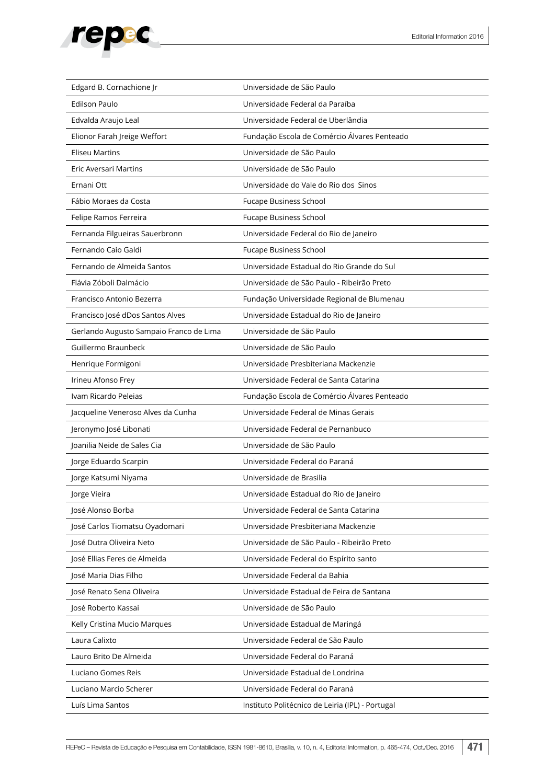

| Edgard B. Cornachione Jr                | Universidade de São Paulo                        |  |  |
|-----------------------------------------|--------------------------------------------------|--|--|
| <b>Edilson Paulo</b>                    | Universidade Federal da Paraíba                  |  |  |
| Edvalda Araujo Leal                     | Universidade Federal de Uberlândia               |  |  |
| Elionor Farah Jreige Weffort            | Fundação Escola de Comércio Álvares Penteado     |  |  |
| <b>Eliseu Martins</b>                   | Universidade de São Paulo                        |  |  |
| Eric Aversari Martins                   | Universidade de São Paulo                        |  |  |
| Ernani Ott                              | Universidade do Vale do Rio dos Sinos            |  |  |
| Fábio Moraes da Costa                   | Fucape Business School                           |  |  |
| Felipe Ramos Ferreira                   | <b>Fucape Business School</b>                    |  |  |
| Fernanda Filgueiras Sauerbronn          | Universidade Federal do Rio de Janeiro           |  |  |
| Fernando Caio Galdi                     | Fucape Business School                           |  |  |
| Fernando de Almeida Santos              | Universidade Estadual do Rio Grande do Sul       |  |  |
| Flávia Zóboli Dalmácio                  | Universidade de São Paulo - Ribeirão Preto       |  |  |
| Francisco Antonio Bezerra               | Fundação Universidade Regional de Blumenau       |  |  |
| Francisco José dDos Santos Alves        | Universidade Estadual do Rio de Janeiro          |  |  |
| Gerlando Augusto Sampaio Franco de Lima | Universidade de São Paulo                        |  |  |
| Guillermo Braunbeck                     | Universidade de São Paulo                        |  |  |
| Henrique Formigoni                      | Universidade Presbiteriana Mackenzie             |  |  |
| Irineu Afonso Frey                      | Universidade Federal de Santa Catarina           |  |  |
| Ivam Ricardo Pelejas                    | Fundação Escola de Comércio Álvares Penteado     |  |  |
| Jacqueline Veneroso Alves da Cunha      | Universidade Federal de Minas Gerais             |  |  |
| Jeronymo José Libonati                  | Universidade Federal de Pernanbuco               |  |  |
| Joanilia Neide de Sales Cia             | Universidade de São Paulo                        |  |  |
| Jorge Eduardo Scarpin                   | Universidade Federal do Paraná                   |  |  |
| Jorge Katsumi Niyama                    | Universidade de Brasilia                         |  |  |
| Jorge Vieira                            | Universidade Estadual do Rio de Janeiro          |  |  |
| José Alonso Borba                       | Universidade Federal de Santa Catarina           |  |  |
| José Carlos Tiomatsu Oyadomari          | Universidade Presbiteriana Mackenzie             |  |  |
| José Dutra Oliveira Neto                | Universidade de São Paulo - Ribeirão Preto       |  |  |
| José Ellias Feres de Almeida            | Universidade Federal do Espírito santo           |  |  |
| José Maria Dias Filho                   | Universidade Federal da Bahia                    |  |  |
| José Renato Sena Oliveira               | Universidade Estadual de Feira de Santana        |  |  |
| José Roberto Kassai                     | Universidade de São Paulo                        |  |  |
| Kelly Cristina Mucio Marques            | Universidade Estadual de Maringá                 |  |  |
| Laura Calixto                           | Universidade Federal de São Paulo                |  |  |
| Lauro Brito De Almeida                  | Universidade Federal do Paraná                   |  |  |
| Luciano Gomes Reis                      | Universidade Estadual de Londrina                |  |  |
| Luciano Marcio Scherer                  | Universidade Federal do Paraná                   |  |  |
| Luís Lima Santos                        | Instituto Politécnico de Leiria (IPL) - Portugal |  |  |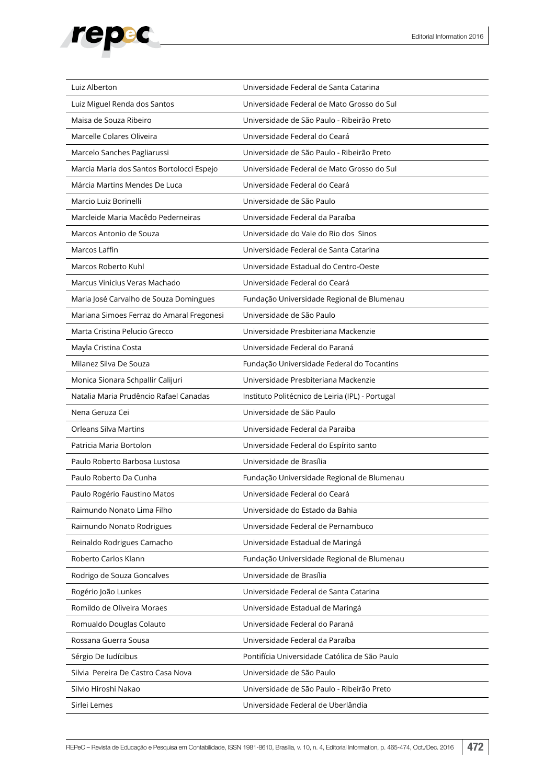

| Luiz Alberton                             | Universidade Federal de Santa Catarina           |  |
|-------------------------------------------|--------------------------------------------------|--|
| Luiz Miguel Renda dos Santos              | Universidade Federal de Mato Grosso do Sul       |  |
| Maisa de Souza Ribeiro                    | Universidade de São Paulo - Ribeirão Preto       |  |
| Marcelle Colares Oliveira                 | Universidade Federal do Ceará                    |  |
| Marcelo Sanches Pagliarussi               | Universidade de São Paulo - Ribeirão Preto       |  |
| Marcia Maria dos Santos Bortolocci Espejo | Universidade Federal de Mato Grosso do Sul       |  |
| Márcia Martins Mendes De Luca             | Universidade Federal do Ceará                    |  |
| Marcio Luiz Borinelli                     | Universidade de São Paulo                        |  |
| Marcleide Maria Macêdo Pederneiras        | Universidade Federal da Paraíba                  |  |
| Marcos Antonio de Souza                   | Universidade do Vale do Rio dos Sinos            |  |
| Marcos Laffin                             | Universidade Federal de Santa Catarina           |  |
| Marcos Roberto Kuhl                       | Universidade Estadual do Centro-Oeste            |  |
| Marcus Vinicius Veras Machado             | Universidade Federal do Ceará                    |  |
| Maria José Carvalho de Souza Domingues    | Fundação Universidade Regional de Blumenau       |  |
| Mariana Simoes Ferraz do Amaral Fregonesi | Universidade de São Paulo                        |  |
| Marta Cristina Pelucio Grecco             | Universidade Presbiteriana Mackenzie             |  |
| Mayla Cristina Costa                      | Universidade Federal do Paraná                   |  |
| Milanez Silva De Souza                    | Fundação Universidade Federal do Tocantins       |  |
| Monica Sionara Schpallir Calijuri         | Universidade Presbiteriana Mackenzie             |  |
| Natalia Maria Prudêncio Rafael Canadas    | Instituto Politécnico de Leiria (IPL) - Portugal |  |
| Nena Geruza Cei                           | Universidade de São Paulo                        |  |
| <b>Orleans Silva Martins</b>              | Universidade Federal da Paraiba                  |  |
| Patricia Maria Bortolon                   | Universidade Federal do Espírito santo           |  |
| Paulo Roberto Barbosa Lustosa             | Universidade de Brasília                         |  |
| Paulo Roberto Da Cunha                    | Fundação Universidade Regional de Blumenau       |  |
| Paulo Rogério Faustino Matos              | Universidade Federal do Ceará                    |  |
| Raimundo Nonato Lima Filho                | Universidade do Estado da Bahia                  |  |
| Raimundo Nonato Rodrigues                 | Universidade Federal de Pernambuco               |  |
| Reinaldo Rodrigues Camacho                | Universidade Estadual de Maringá                 |  |
| Roberto Carlos Klann                      | Fundação Universidade Regional de Blumenau       |  |
| Rodrigo de Souza Goncalves                | Universidade de Brasília                         |  |
| Rogério João Lunkes                       | Universidade Federal de Santa Catarina           |  |
| Romildo de Oliveira Moraes                | Universidade Estadual de Maringá                 |  |
| Romualdo Douglas Colauto                  | Universidade Federal do Paraná                   |  |
| Rossana Guerra Sousa                      | Universidade Federal da Paraíba                  |  |
| Sérgio De Iudícibus                       | Pontifícia Universidade Católica de São Paulo    |  |
| Silvia Pereira De Castro Casa Nova        | Universidade de São Paulo                        |  |
| Silvio Hiroshi Nakao                      | Universidade de São Paulo - Ribeirão Preto       |  |
| Sirlei Lemes                              | Universidade Federal de Uberlândia               |  |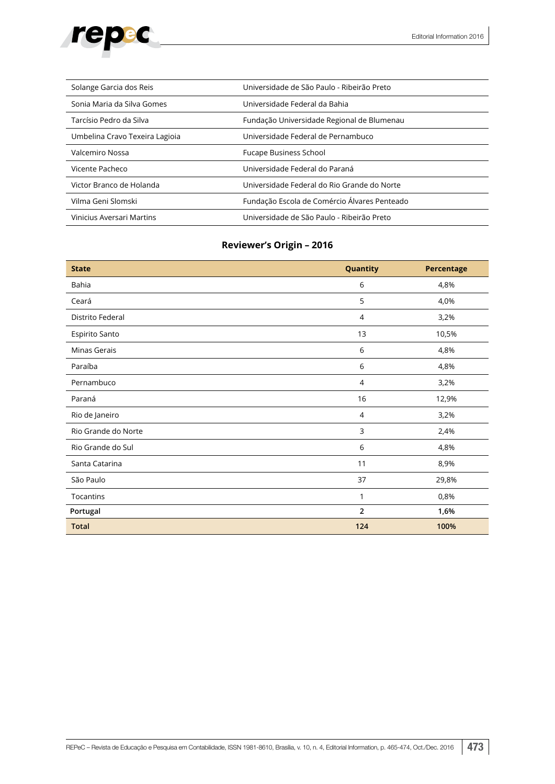

| Solange Garcia dos Reis        | Universidade de São Paulo - Ribeirão Preto   |  |
|--------------------------------|----------------------------------------------|--|
| Sonia Maria da Silva Gomes     | Universidade Federal da Bahia                |  |
| Tarcísio Pedro da Silva        | Fundação Universidade Regional de Blumenau   |  |
| Umbelina Cravo Texeira Lagioia | Universidade Federal de Pernambuco           |  |
| Valcemiro Nossa                | <b>Fucape Business School</b>                |  |
| Vicente Pacheco                | Universidade Federal do Paraná               |  |
| Victor Branco de Holanda       | Universidade Federal do Rio Grande do Norte  |  |
| Vilma Geni Slomski             | Fundação Escola de Comércio Álvares Penteado |  |
| Vinicius Aversari Martins      | Universidade de São Paulo - Ribeirão Preto   |  |

## **Reviewer's Origin – 2016**

| <b>State</b>        | Quantity<br>Percentage |       |  |  |
|---------------------|------------------------|-------|--|--|
| Bahia               | 6                      | 4,8%  |  |  |
| Ceará               | 5                      | 4,0%  |  |  |
| Distrito Federal    | $\overline{4}$         | 3,2%  |  |  |
| Espirito Santo      | 13                     | 10,5% |  |  |
| Minas Gerais        | 6                      | 4,8%  |  |  |
| Paraíba             | 6                      | 4,8%  |  |  |
| Pernambuco          | $\overline{4}$         | 3,2%  |  |  |
| Paraná              | 16                     | 12,9% |  |  |
| Rio de Janeiro      | $\overline{4}$         | 3,2%  |  |  |
| Rio Grande do Norte | 3                      | 2,4%  |  |  |
| Rio Grande do Sul   | 6                      | 4,8%  |  |  |
| Santa Catarina      | 11                     | 8,9%  |  |  |
| São Paulo           | 37<br>29,8%            |       |  |  |
| Tocantins           | 0,8%<br>1              |       |  |  |
| Portugal            | $\overline{2}$         | 1,6%  |  |  |
| <b>Total</b>        | 124                    | 100%  |  |  |